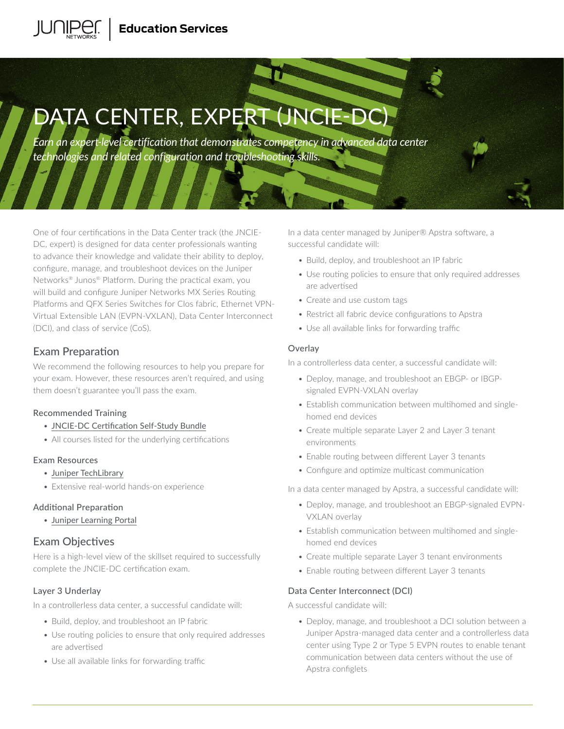# **Education Services**

# DATA CENTER, EXPERT (JNGIE-DC)

*Earn an expert-level certification that demonstrates competency in advanced data center technologies and related configuration and troubleshooting skills.* 

One of four certifications in the Data Center track (the JNCIE-DC, expert) is designed for data center professionals wanting to advance their knowledge and validate their ability to deploy, configure, manage, and troubleshoot devices on the Juniper Networks® Junos® Platform. During the practical exam, you will build and configure Juniper Networks MX Series Routing Platforms and QFX Series Switches for Clos fabric, Ethernet VPN-Virtual Extensible LAN (EVPN-VXLAN), Data Center Interconnect (DCI), and class of service (CoS).

# Exam Preparation

We recommend the following resources to help you prepare for your exam. However, these resources aren't required, and using them doesn't guarantee you'll pass the exam.

# Recommended Training

- [JNCIE-DC Certification Self-Study Bundle](https://learningportal.juniper.net/juniper/user_activity_info.aspx?id=11027)
- All courses listed for the underlying certifications

#### Exam Resources

- [Juniper TechLibrary](https://www.juniper.net/documentation/)
- Extensive real-world hands-on experience

#### Additional Preparation

• [Juniper Learning Portal](https://learningportal.juniper.net/juniper/user_activity_info.aspx?id=JUNIPER-CERTIFICATION-PROGRAM-HOME)

# Exam Objectives

Here is a high-level view of the skillset required to successfully complete the JNCIE-DC certification exam.

# Layer 3 Underlay

In a controllerless data center, a successful candidate will:

- Build, deploy, and troubleshoot an IP fabric
- Use routing policies to ensure that only required addresses are advertised
- Use all available links for forwarding traffic

In a data center managed by Juniper® Apstra software, a successful candidate will:

- Build, deploy, and troubleshoot an IP fabric
- Use routing policies to ensure that only required addresses are advertised
- Create and use custom tags
- Restrict all fabric device configurations to Apstra
- Use all available links for forwarding traffic

## **Overlay**

In a controllerless data center, a successful candidate will:

- Deploy, manage, and troubleshoot an EBGP- or IBGPsignaled EVPN-VXLAN overlay
- Establish communication between multihomed and singlehomed end devices
- Create multiple separate Layer 2 and Layer 3 tenant environments
- Enable routing between different Layer 3 tenants
- Configure and optimize multicast communication

In a data center managed by Apstra, a successful candidate will:

- Deploy, manage, and troubleshoot an EBGP-signaled EVPN-VXLAN overlay
- Establish communication between multihomed and singlehomed end devices
- Create multiple separate Layer 3 tenant environments
- Enable routing between different Layer 3 tenants

#### Data Center Interconnect (DCI)

A successful candidate will:

• Deploy, manage, and troubleshoot a DCI solution between a Juniper Apstra-managed data center and a controllerless data center using Type 2 or Type 5 EVPN routes to enable tenant communication between data centers without the use of Apstra configlets